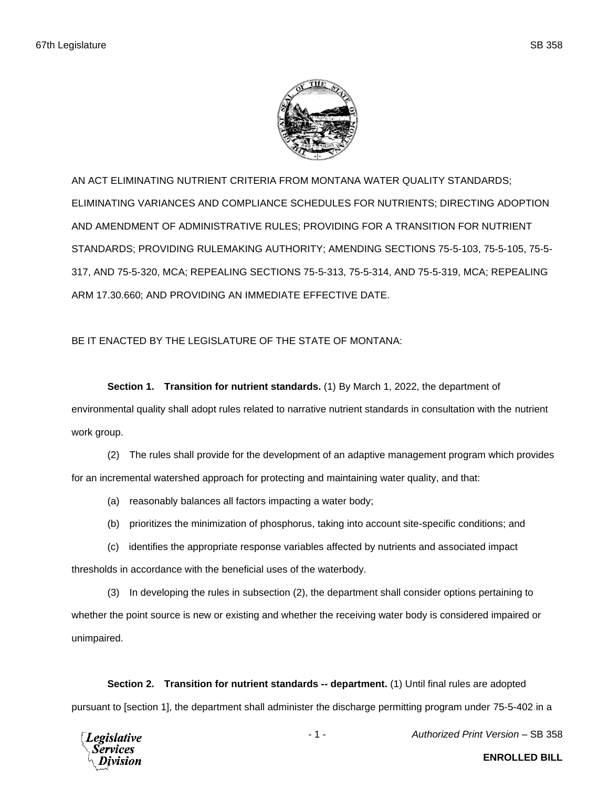

AN ACT ELIMINATING NUTRIENT CRITERIA FROM MONTANA WATER QUALITY STANDARDS; ELIMINATING VARIANCES AND COMPLIANCE SCHEDULES FOR NUTRIENTS; DIRECTING ADOPTION AND AMENDMENT OF ADMINISTRATIVE RULES; PROVIDING FOR A TRANSITION FOR NUTRIENT STANDARDS; PROVIDING RULEMAKING AUTHORITY; AMENDING SECTIONS 75-5-103, 75-5-105, 75-5- 317, AND 75-5-320, MCA; REPEALING SECTIONS 75-5-313, 75-5-314, AND 75-5-319, MCA; REPEALING ARM 17.30.660; AND PROVIDING AN IMMEDIATE EFFECTIVE DATE.

BE IT ENACTED BY THE LEGISLATURE OF THE STATE OF MONTANA:

**Section 1. Transition for nutrient standards.** (1) By March 1, 2022, the department of environmental quality shall adopt rules related to narrative nutrient standards in consultation with the nutrient work group.

(2) The rules shall provide for the development of an adaptive management program which provides for an incremental watershed approach for protecting and maintaining water quality, and that:

- (a) reasonably balances all factors impacting a water body;
- (b) prioritizes the minimization of phosphorus, taking into account site-specific conditions; and

(c) identifies the appropriate response variables affected by nutrients and associated impact thresholds in accordance with the beneficial uses of the waterbody.

(3) In developing the rules in subsection (2), the department shall consider options pertaining to whether the point source is new or existing and whether the receiving water body is considered impaired or unimpaired.

**Section 2. Transition for nutrient standards -- department.** (1) Until final rules are adopted pursuant to [section 1], the department shall administer the discharge permitting program under 75-5-402 in a

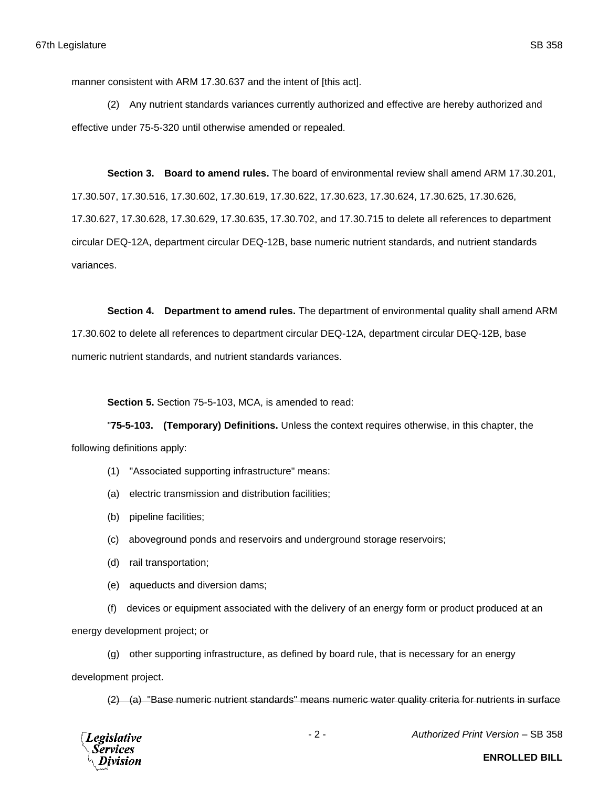manner consistent with ARM 17.30.637 and the intent of [this act].

(2) Any nutrient standards variances currently authorized and effective are hereby authorized and effective under 75-5-320 until otherwise amended or repealed.

**Section 3. Board to amend rules.** The board of environmental review shall amend ARM 17.30.201, 17.30.507, 17.30.516, 17.30.602, 17.30.619, 17.30.622, 17.30.623, 17.30.624, 17.30.625, 17.30.626, 17.30.627, 17.30.628, 17.30.629, 17.30.635, 17.30.702, and 17.30.715 to delete all references to department circular DEQ-12A, department circular DEQ-12B, base numeric nutrient standards, and nutrient standards variances.

**Section 4. Department to amend rules.** The department of environmental quality shall amend ARM 17.30.602 to delete all references to department circular DEQ-12A, department circular DEQ-12B, base numeric nutrient standards, and nutrient standards variances.

**Section 5.** Section 75-5-103, MCA, is amended to read:

"**75-5-103. (Temporary) Definitions.** Unless the context requires otherwise, in this chapter, the following definitions apply:

- (1) "Associated supporting infrastructure" means:
- (a) electric transmission and distribution facilities;
- (b) pipeline facilities;
- (c) aboveground ponds and reservoirs and underground storage reservoirs;
- (d) rail transportation;
- (e) aqueducts and diversion dams;
- (f) devices or equipment associated with the delivery of an energy form or product produced at an

energy development project; or

(g) other supporting infrastructure, as defined by board rule, that is necessary for an energy

development project.

(2) (a) "Base numeric nutrient standards" means numeric water quality criteria for nutrients in surface



- 2 - *Authorized Print Version* – SB 358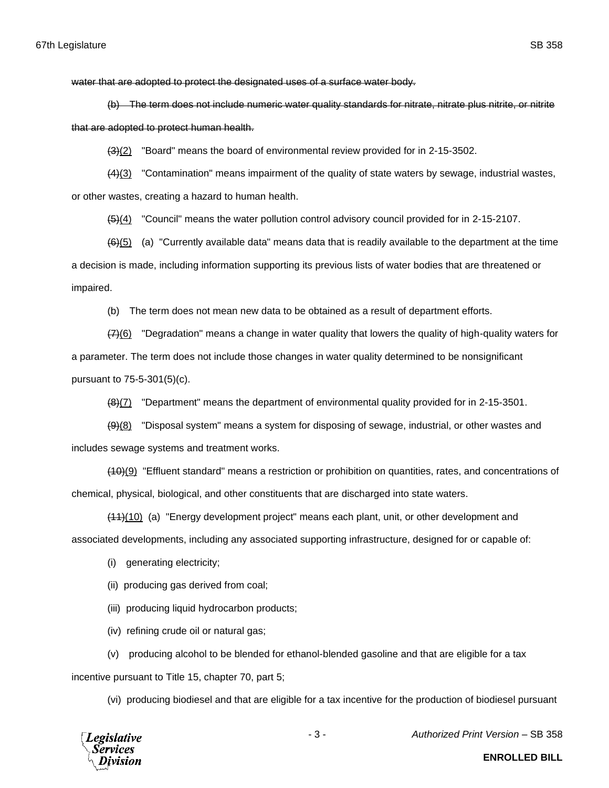water that are adopted to protect the designated uses of a surface water body.

(b) The term does not include numeric water quality standards for nitrate, nitrate plus nitrite, or nitrite that are adopted to protect human health.

 $(3)(2)$  "Board" means the board of environmental review provided for in 2-15-3502.

(4)(3) "Contamination" means impairment of the quality of state waters by sewage, industrial wastes, or other wastes, creating a hazard to human health.

(5)(4) "Council" means the water pollution control advisory council provided for in 2-15-2107.

 $(6)(5)$  (a) "Currently available data" means data that is readily available to the department at the time a decision is made, including information supporting its previous lists of water bodies that are threatened or impaired.

(b) The term does not mean new data to be obtained as a result of department efforts.

 $(7)(6)$  "Degradation" means a change in water quality that lowers the quality of high-quality waters for a parameter. The term does not include those changes in water quality determined to be nonsignificant pursuant to 75-5-301(5)(c).

 $(8)(7)$  "Department" means the department of environmental quality provided for in 2-15-3501.

 $(9)$ (8) "Disposal system" means a system for disposing of sewage, industrial, or other wastes and includes sewage systems and treatment works.

(10)(9) "Effluent standard" means a restriction or prohibition on quantities, rates, and concentrations of chemical, physical, biological, and other constituents that are discharged into state waters.

(11)(10) (a) "Energy development project" means each plant, unit, or other development and associated developments, including any associated supporting infrastructure, designed for or capable of:

(i) generating electricity;

(ii) producing gas derived from coal;

(iii) producing liquid hydrocarbon products;

(iv) refining crude oil or natural gas;

(v) producing alcohol to be blended for ethanol-blended gasoline and that are eligible for a tax

incentive pursuant to Title 15, chapter 70, part 5;

(vi) producing biodiesel and that are eligible for a tax incentive for the production of biodiesel pursuant



- 3 - *Authorized Print Version* – SB 358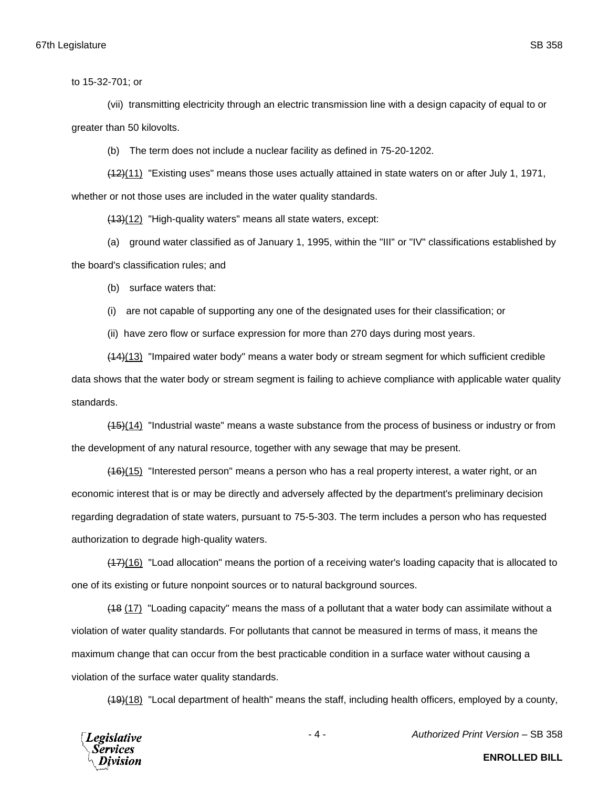to 15-32-701; or

(vii) transmitting electricity through an electric transmission line with a design capacity of equal to or greater than 50 kilovolts.

(b) The term does not include a nuclear facility as defined in 75-20-1202.

(12)(11) "Existing uses" means those uses actually attained in state waters on or after July 1, 1971, whether or not those uses are included in the water quality standards.

(13)(12) "High-quality waters" means all state waters, except:

(a) ground water classified as of January 1, 1995, within the "III" or "IV" classifications established by the board's classification rules; and

(b) surface waters that:

(i) are not capable of supporting any one of the designated uses for their classification; or

(ii) have zero flow or surface expression for more than 270 days during most years.

(14)(13) "Impaired water body" means a water body or stream segment for which sufficient credible data shows that the water body or stream segment is failing to achieve compliance with applicable water quality standards.

(15)(14) "Industrial waste" means a waste substance from the process of business or industry or from the development of any natural resource, together with any sewage that may be present.

(16)(15) "Interested person" means a person who has a real property interest, a water right, or an economic interest that is or may be directly and adversely affected by the department's preliminary decision regarding degradation of state waters, pursuant to 75-5-303. The term includes a person who has requested authorization to degrade high-quality waters.

(17)(16) "Load allocation" means the portion of a receiving water's loading capacity that is allocated to one of its existing or future nonpoint sources or to natural background sources.

(18 (17) "Loading capacity" means the mass of a pollutant that a water body can assimilate without a violation of water quality standards. For pollutants that cannot be measured in terms of mass, it means the maximum change that can occur from the best practicable condition in a surface water without causing a violation of the surface water quality standards.

(19)(18) "Local department of health" means the staff, including health officers, employed by a county,



- 4 - *Authorized Print Version* – SB 358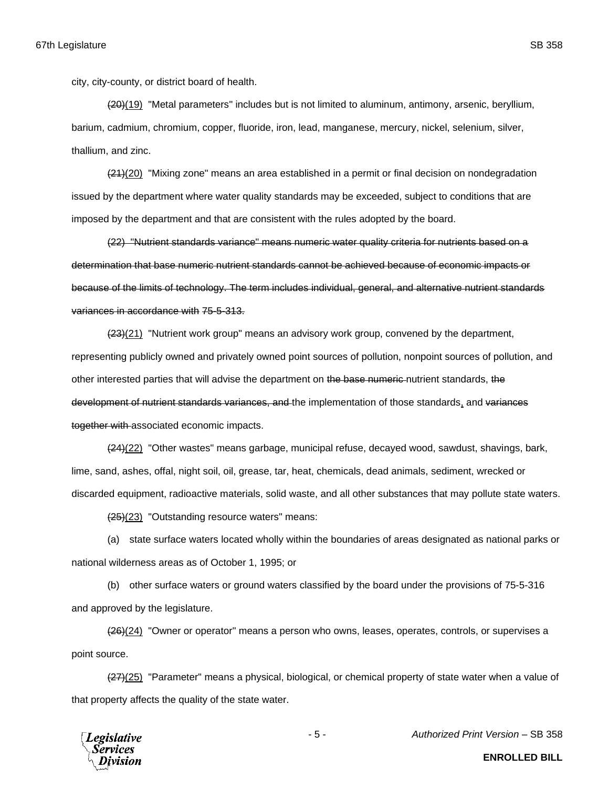city, city-county, or district board of health.

(20)(19) "Metal parameters" includes but is not limited to aluminum, antimony, arsenic, beryllium, barium, cadmium, chromium, copper, fluoride, iron, lead, manganese, mercury, nickel, selenium, silver, thallium, and zinc.

 $(21)(20)$  "Mixing zone" means an area established in a permit or final decision on nondegradation issued by the department where water quality standards may be exceeded, subject to conditions that are imposed by the department and that are consistent with the rules adopted by the board.

(22) "Nutrient standards variance" means numeric water quality criteria for nutrients based on a determination that base numeric nutrient standards cannot be achieved because of economic impacts or because of the limits of technology. The term includes individual, general, and alternative nutrient standards variances in accordance with 75-5-313.

(23)(21) "Nutrient work group" means an advisory work group, convened by the department, representing publicly owned and privately owned point sources of pollution, nonpoint sources of pollution, and other interested parties that will advise the department on the base numeric nutrient standards, the development of nutrient standards variances, and the implementation of those standards, and variances together with associated economic impacts.

(24)(22) "Other wastes" means garbage, municipal refuse, decayed wood, sawdust, shavings, bark, lime, sand, ashes, offal, night soil, oil, grease, tar, heat, chemicals, dead animals, sediment, wrecked or discarded equipment, radioactive materials, solid waste, and all other substances that may pollute state waters.

(25)(23) "Outstanding resource waters" means:

(a) state surface waters located wholly within the boundaries of areas designated as national parks or national wilderness areas as of October 1, 1995; or

(b) other surface waters or ground waters classified by the board under the provisions of 75-5-316 and approved by the legislature.

(26)(24) "Owner or operator" means a person who owns, leases, operates, controls, or supervises a point source.

(27)(25) "Parameter" means a physical, biological, or chemical property of state water when a value of that property affects the quality of the state water.



- 5 - *Authorized Print Version* – SB 358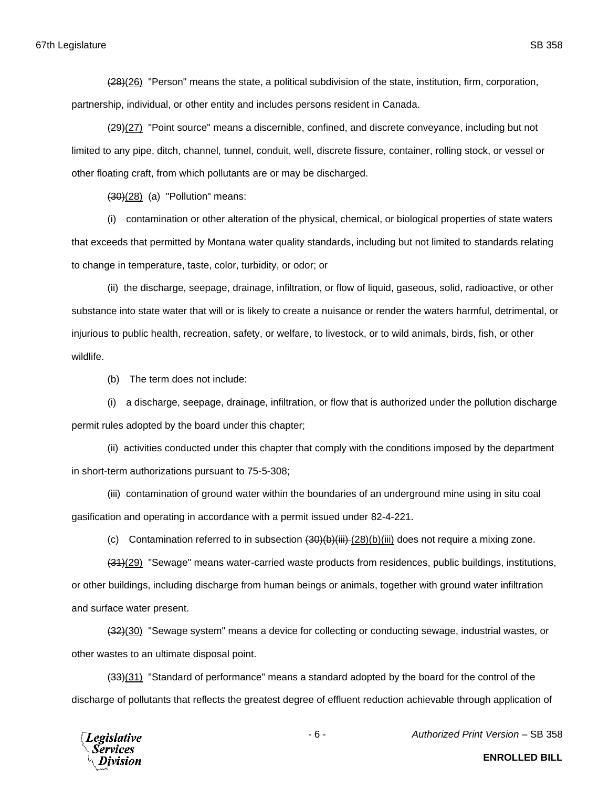(28)(26) "Person" means the state, a political subdivision of the state, institution, firm, corporation, partnership, individual, or other entity and includes persons resident in Canada.

(29)(27) "Point source" means a discernible, confined, and discrete conveyance, including but not limited to any pipe, ditch, channel, tunnel, conduit, well, discrete fissure, container, rolling stock, or vessel or other floating craft, from which pollutants are or may be discharged.

 $(30)(28)$  (a) "Pollution" means:

(i) contamination or other alteration of the physical, chemical, or biological properties of state waters that exceeds that permitted by Montana water quality standards, including but not limited to standards relating to change in temperature, taste, color, turbidity, or odor; or

(ii) the discharge, seepage, drainage, infiltration, or flow of liquid, gaseous, solid, radioactive, or other substance into state water that will or is likely to create a nuisance or render the waters harmful, detrimental, or injurious to public health, recreation, safety, or welfare, to livestock, or to wild animals, birds, fish, or other wildlife.

(b) The term does not include:

(i) a discharge, seepage, drainage, infiltration, or flow that is authorized under the pollution discharge permit rules adopted by the board under this chapter;

(ii) activities conducted under this chapter that comply with the conditions imposed by the department in short-term authorizations pursuant to 75-5-308;

(iii) contamination of ground water within the boundaries of an underground mine using in situ coal gasification and operating in accordance with a permit issued under 82-4-221.

(c) Contamination referred to in subsection (30)(b)(iii) (28)(b)(iii) does not require a mixing zone.

(31)(29) "Sewage" means water-carried waste products from residences, public buildings, institutions, or other buildings, including discharge from human beings or animals, together with ground water infiltration and surface water present.

(32)(30) "Sewage system" means a device for collecting or conducting sewage, industrial wastes, or other wastes to an ultimate disposal point.

(33)(31) "Standard of performance" means a standard adopted by the board for the control of the discharge of pollutants that reflects the greatest degree of effluent reduction achievable through application of



- 6 - *Authorized Print Version* – SB 358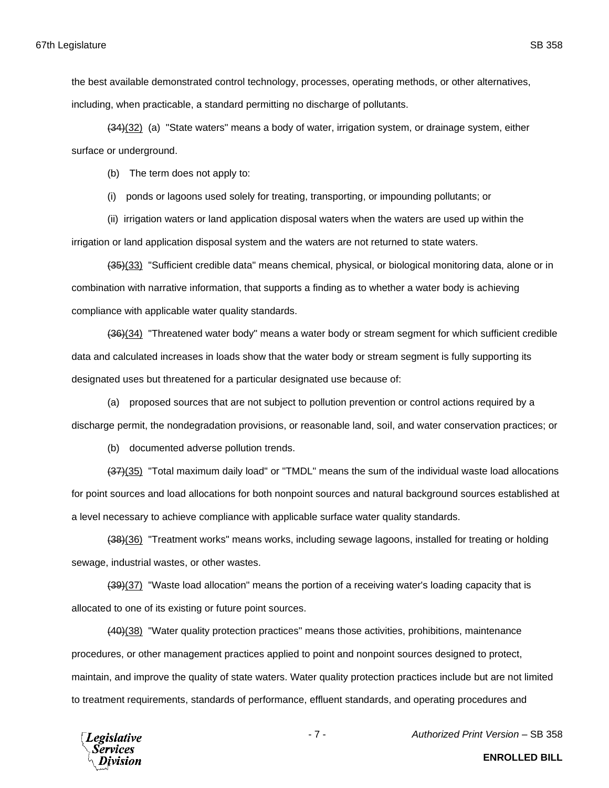the best available demonstrated control technology, processes, operating methods, or other alternatives, including, when practicable, a standard permitting no discharge of pollutants.

(34)(32) (a) "State waters" means a body of water, irrigation system, or drainage system, either surface or underground.

(b) The term does not apply to:

(i) ponds or lagoons used solely for treating, transporting, or impounding pollutants; or

(ii) irrigation waters or land application disposal waters when the waters are used up within the irrigation or land application disposal system and the waters are not returned to state waters.

(35)(33) "Sufficient credible data" means chemical, physical, or biological monitoring data, alone or in combination with narrative information, that supports a finding as to whether a water body is achieving compliance with applicable water quality standards.

(36)(34) "Threatened water body" means a water body or stream segment for which sufficient credible data and calculated increases in loads show that the water body or stream segment is fully supporting its designated uses but threatened for a particular designated use because of:

(a) proposed sources that are not subject to pollution prevention or control actions required by a discharge permit, the nondegradation provisions, or reasonable land, soil, and water conservation practices; or

(b) documented adverse pollution trends.

 $\left(\frac{37}{35}\right)$  "Total maximum daily load" or "TMDL" means the sum of the individual waste load allocations for point sources and load allocations for both nonpoint sources and natural background sources established at a level necessary to achieve compliance with applicable surface water quality standards.

(38)(36) "Treatment works" means works, including sewage lagoons, installed for treating or holding sewage, industrial wastes, or other wastes.

(39)(37) "Waste load allocation" means the portion of a receiving water's loading capacity that is allocated to one of its existing or future point sources.

(40)(38) "Water quality protection practices" means those activities, prohibitions, maintenance procedures, or other management practices applied to point and nonpoint sources designed to protect, maintain, and improve the quality of state waters. Water quality protection practices include but are not limited to treatment requirements, standards of performance, effluent standards, and operating procedures and



- 7 - *Authorized Print Version* – SB 358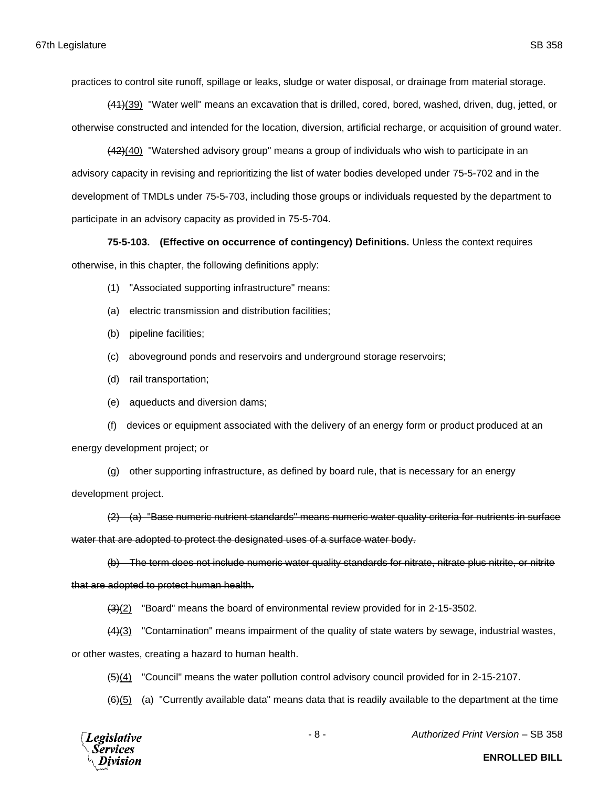practices to control site runoff, spillage or leaks, sludge or water disposal, or drainage from material storage.

(41)(39) "Water well" means an excavation that is drilled, cored, bored, washed, driven, dug, jetted, or otherwise constructed and intended for the location, diversion, artificial recharge, or acquisition of ground water.

(42)(40) "Watershed advisory group" means a group of individuals who wish to participate in an advisory capacity in revising and reprioritizing the list of water bodies developed under 75-5-702 and in the development of TMDLs under 75-5-703, including those groups or individuals requested by the department to participate in an advisory capacity as provided in 75-5-704.

**75-5-103. (Effective on occurrence of contingency) Definitions.** Unless the context requires otherwise, in this chapter, the following definitions apply:

- (1) "Associated supporting infrastructure" means:
- (a) electric transmission and distribution facilities;
- (b) pipeline facilities;
- (c) aboveground ponds and reservoirs and underground storage reservoirs;
- (d) rail transportation;
- (e) aqueducts and diversion dams;

(f) devices or equipment associated with the delivery of an energy form or product produced at an energy development project; or

(g) other supporting infrastructure, as defined by board rule, that is necessary for an energy development project.

(2) (a) "Base numeric nutrient standards" means numeric water quality criteria for nutrients in surface water that are adopted to protect the designated uses of a surface water body.

(b) The term does not include numeric water quality standards for nitrate, nitrate plus nitrite, or nitrite that are adopted to protect human health.

(3)(2) "Board" means the board of environmental review provided for in 2-15-3502.

(4)(3) "Contamination" means impairment of the quality of state waters by sewage, industrial wastes,

or other wastes, creating a hazard to human health.

(5)(4) "Council" means the water pollution control advisory council provided for in 2-15-2107.

 $(6)(5)$  (a) "Currently available data" means data that is readily available to the department at the time



- 8 - *Authorized Print Version* – SB 358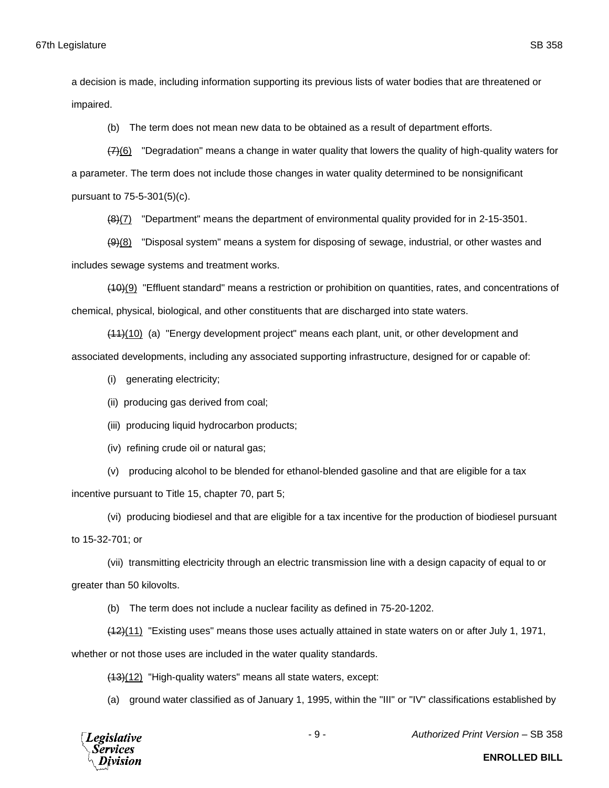a decision is made, including information supporting its previous lists of water bodies that are threatened or impaired.

(b) The term does not mean new data to be obtained as a result of department efforts.

(7)(6) "Degradation" means a change in water quality that lowers the quality of high-quality waters for a parameter. The term does not include those changes in water quality determined to be nonsignificant pursuant to 75-5-301(5)(c).

(8)(7) "Department" means the department of environmental quality provided for in 2-15-3501.

 $(9)$ (8) "Disposal system" means a system for disposing of sewage, industrial, or other wastes and includes sewage systems and treatment works.

(10)(9) "Effluent standard" means a restriction or prohibition on quantities, rates, and concentrations of chemical, physical, biological, and other constituents that are discharged into state waters.

(11)(10) (a) "Energy development project" means each plant, unit, or other development and associated developments, including any associated supporting infrastructure, designed for or capable of:

(i) generating electricity;

- (ii) producing gas derived from coal;
- (iii) producing liquid hydrocarbon products;
- (iv) refining crude oil or natural gas;

(v) producing alcohol to be blended for ethanol-blended gasoline and that are eligible for a tax incentive pursuant to Title 15, chapter 70, part 5;

(vi) producing biodiesel and that are eligible for a tax incentive for the production of biodiesel pursuant to 15-32-701; or

(vii) transmitting electricity through an electric transmission line with a design capacity of equal to or greater than 50 kilovolts.

(b) The term does not include a nuclear facility as defined in 75-20-1202.

(12)(11) "Existing uses" means those uses actually attained in state waters on or after July 1, 1971,

whether or not those uses are included in the water quality standards.

(13)(12) "High-quality waters" means all state waters, except:

(a) ground water classified as of January 1, 1995, within the "III" or "IV" classifications established by



- 9 - *Authorized Print Version* – SB 358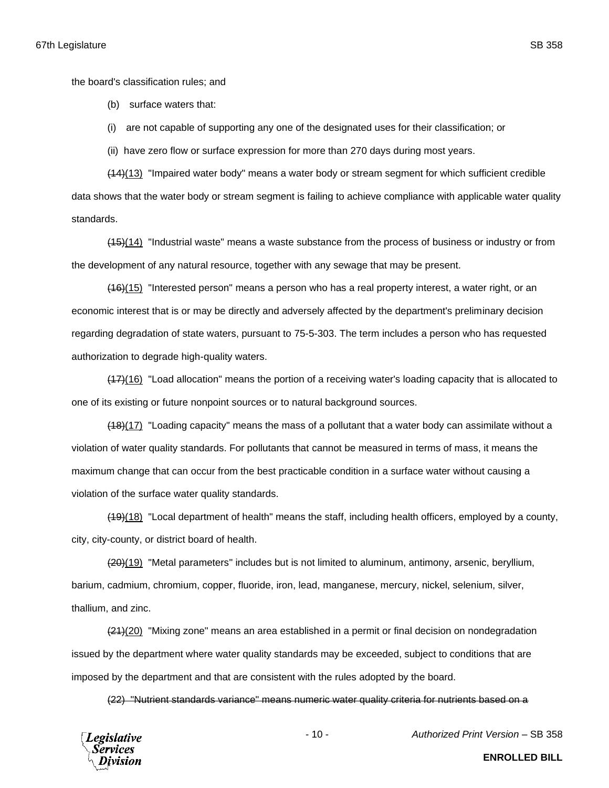the board's classification rules; and

(b) surface waters that:

(i) are not capable of supporting any one of the designated uses for their classification; or

(ii) have zero flow or surface expression for more than 270 days during most years.

(14)(13) "Impaired water body" means a water body or stream segment for which sufficient credible data shows that the water body or stream segment is failing to achieve compliance with applicable water quality standards.

(15)(14) "Industrial waste" means a waste substance from the process of business or industry or from the development of any natural resource, together with any sewage that may be present.

(16)(15) "Interested person" means a person who has a real property interest, a water right, or an economic interest that is or may be directly and adversely affected by the department's preliminary decision regarding degradation of state waters, pursuant to 75-5-303. The term includes a person who has requested authorization to degrade high-quality waters.

(17)(16) "Load allocation" means the portion of a receiving water's loading capacity that is allocated to one of its existing or future nonpoint sources or to natural background sources.

(18)(17) "Loading capacity" means the mass of a pollutant that a water body can assimilate without a violation of water quality standards. For pollutants that cannot be measured in terms of mass, it means the maximum change that can occur from the best practicable condition in a surface water without causing a violation of the surface water quality standards.

(19)(18) "Local department of health" means the staff, including health officers, employed by a county, city, city-county, or district board of health.

(20)(19) "Metal parameters" includes but is not limited to aluminum, antimony, arsenic, beryllium, barium, cadmium, chromium, copper, fluoride, iron, lead, manganese, mercury, nickel, selenium, silver, thallium, and zinc.

(21)(20) "Mixing zone" means an area established in a permit or final decision on nondegradation issued by the department where water quality standards may be exceeded, subject to conditions that are imposed by the department and that are consistent with the rules adopted by the board.

(22) "Nutrient standards variance" means numeric water quality criteria for nutrients based on a



- 10 - *Authorized Print Version* – SB 358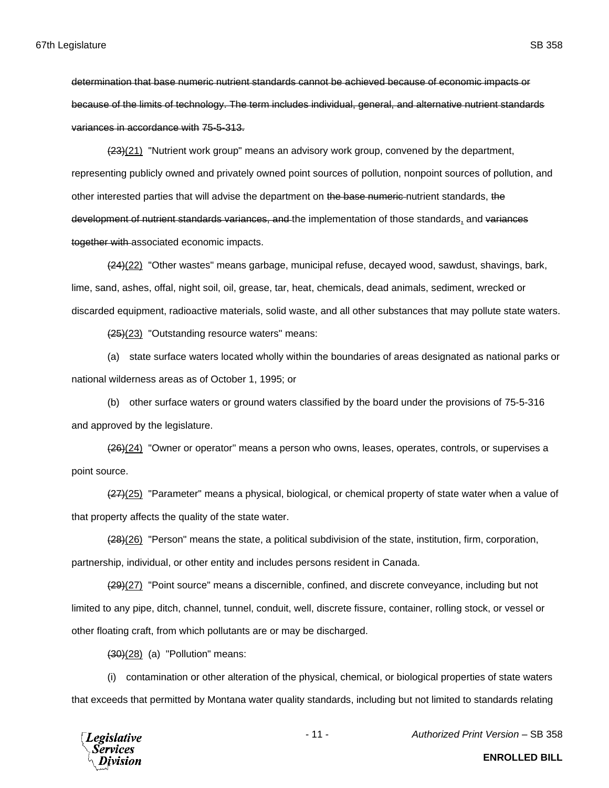determination that base numeric nutrient standards cannot be achieved because of economic impacts or because of the limits of technology. The term includes individual, general, and alternative nutrient standards variances in accordance with 75-5-313.

(23)(21) "Nutrient work group" means an advisory work group, convened by the department, representing publicly owned and privately owned point sources of pollution, nonpoint sources of pollution, and other interested parties that will advise the department on the base numeric nutrient standards, the development of nutrient standards variances, and the implementation of those standards, and variances together with associated economic impacts.

(24)(22) "Other wastes" means garbage, municipal refuse, decayed wood, sawdust, shavings, bark, lime, sand, ashes, offal, night soil, oil, grease, tar, heat, chemicals, dead animals, sediment, wrecked or discarded equipment, radioactive materials, solid waste, and all other substances that may pollute state waters.

(25)(23) "Outstanding resource waters" means:

(a) state surface waters located wholly within the boundaries of areas designated as national parks or national wilderness areas as of October 1, 1995; or

(b) other surface waters or ground waters classified by the board under the provisions of 75-5-316 and approved by the legislature.

(26)(24) "Owner or operator" means a person who owns, leases, operates, controls, or supervises a point source.

(27)(25) "Parameter" means a physical, biological, or chemical property of state water when a value of that property affects the quality of the state water.

(28)(26) "Person" means the state, a political subdivision of the state, institution, firm, corporation, partnership, individual, or other entity and includes persons resident in Canada.

(29)(27) "Point source" means a discernible, confined, and discrete conveyance, including but not limited to any pipe, ditch, channel, tunnel, conduit, well, discrete fissure, container, rolling stock, or vessel or other floating craft, from which pollutants are or may be discharged.

 $(30)(28)$  (a) "Pollution" means:

(i) contamination or other alteration of the physical, chemical, or biological properties of state waters that exceeds that permitted by Montana water quality standards, including but not limited to standards relating



- 11 - *Authorized Print Version* – SB 358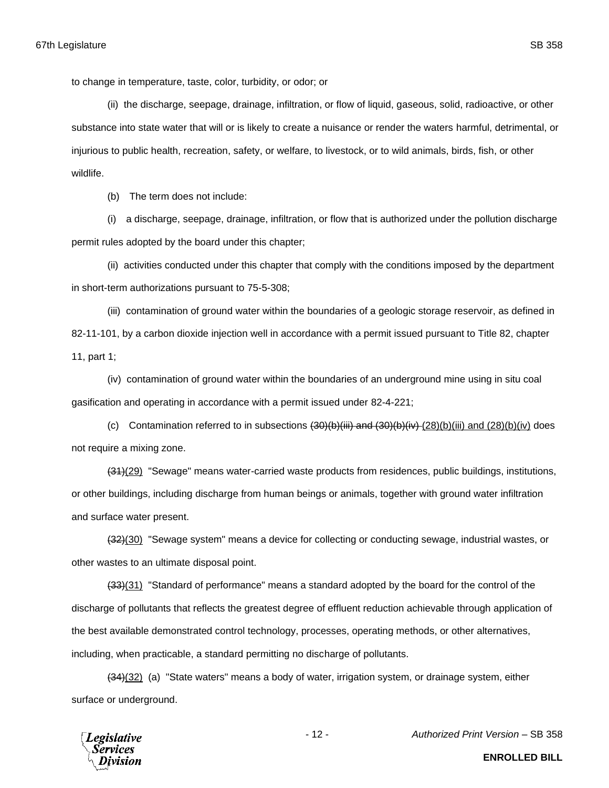to change in temperature, taste, color, turbidity, or odor; or

(ii) the discharge, seepage, drainage, infiltration, or flow of liquid, gaseous, solid, radioactive, or other substance into state water that will or is likely to create a nuisance or render the waters harmful, detrimental, or injurious to public health, recreation, safety, or welfare, to livestock, or to wild animals, birds, fish, or other wildlife.

(b) The term does not include:

(i) a discharge, seepage, drainage, infiltration, or flow that is authorized under the pollution discharge permit rules adopted by the board under this chapter;

(ii) activities conducted under this chapter that comply with the conditions imposed by the department in short-term authorizations pursuant to 75-5-308;

(iii) contamination of ground water within the boundaries of a geologic storage reservoir, as defined in 82-11-101, by a carbon dioxide injection well in accordance with a permit issued pursuant to Title 82, chapter 11, part 1;

(iv) contamination of ground water within the boundaries of an underground mine using in situ coal gasification and operating in accordance with a permit issued under 82-4-221;

(c) Contamination referred to in subsections  $(30)(b)(iii)$  and  $(30)(b)(iv)$  (28)(b)(iii) and (28)(b)(iv) does not require a mixing zone.

 $(31)(29)$  "Sewage" means water-carried waste products from residences, public buildings, institutions, or other buildings, including discharge from human beings or animals, together with ground water infiltration and surface water present.

 $\left(\frac{32}{10}\right)$  "Sewage system" means a device for collecting or conducting sewage, industrial wastes, or other wastes to an ultimate disposal point.

 $(33)(31)$  "Standard of performance" means a standard adopted by the board for the control of the discharge of pollutants that reflects the greatest degree of effluent reduction achievable through application of the best available demonstrated control technology, processes, operating methods, or other alternatives, including, when practicable, a standard permitting no discharge of pollutants.

(34)(32) (a) "State waters" means a body of water, irrigation system, or drainage system, either surface or underground.



- 12 - *Authorized Print Version* – SB 358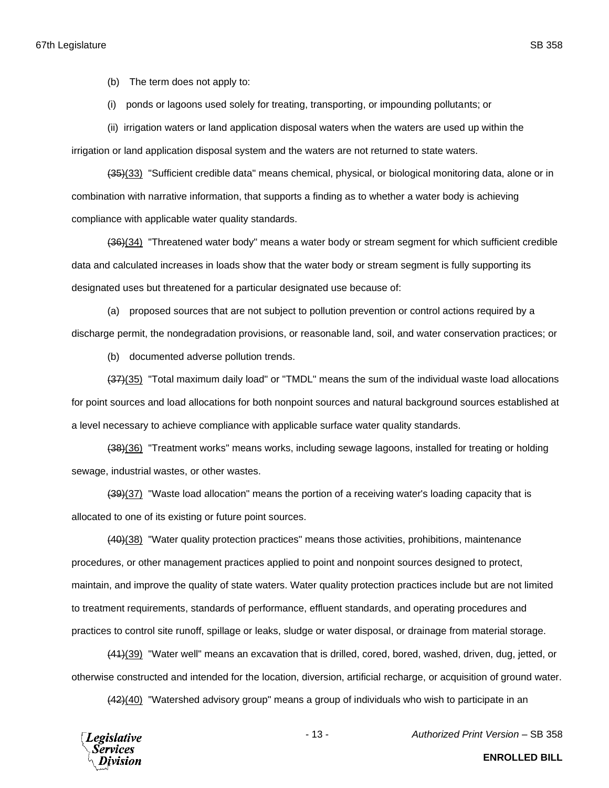(b) The term does not apply to:

(i) ponds or lagoons used solely for treating, transporting, or impounding pollutants; or

(ii) irrigation waters or land application disposal waters when the waters are used up within the

irrigation or land application disposal system and the waters are not returned to state waters.

(35)(33) "Sufficient credible data" means chemical, physical, or biological monitoring data, alone or in combination with narrative information, that supports a finding as to whether a water body is achieving compliance with applicable water quality standards.

(36)(34) "Threatened water body" means a water body or stream segment for which sufficient credible data and calculated increases in loads show that the water body or stream segment is fully supporting its designated uses but threatened for a particular designated use because of:

(a) proposed sources that are not subject to pollution prevention or control actions required by a discharge permit, the nondegradation provisions, or reasonable land, soil, and water conservation practices; or

(b) documented adverse pollution trends.

 $(37)(35)$  "Total maximum daily load" or "TMDL" means the sum of the individual waste load allocations for point sources and load allocations for both nonpoint sources and natural background sources established at a level necessary to achieve compliance with applicable surface water quality standards.

(38)(36) "Treatment works" means works, including sewage lagoons, installed for treating or holding sewage, industrial wastes, or other wastes.

(39)(37) "Waste load allocation" means the portion of a receiving water's loading capacity that is allocated to one of its existing or future point sources.

(40)(38) "Water quality protection practices" means those activities, prohibitions, maintenance procedures, or other management practices applied to point and nonpoint sources designed to protect, maintain, and improve the quality of state waters. Water quality protection practices include but are not limited to treatment requirements, standards of performance, effluent standards, and operating procedures and practices to control site runoff, spillage or leaks, sludge or water disposal, or drainage from material storage.

(41)(39) "Water well" means an excavation that is drilled, cored, bored, washed, driven, dug, jetted, or otherwise constructed and intended for the location, diversion, artificial recharge, or acquisition of ground water.

(42)(40) "Watershed advisory group" means a group of individuals who wish to participate in an



- 13 - *Authorized Print Version* – SB 358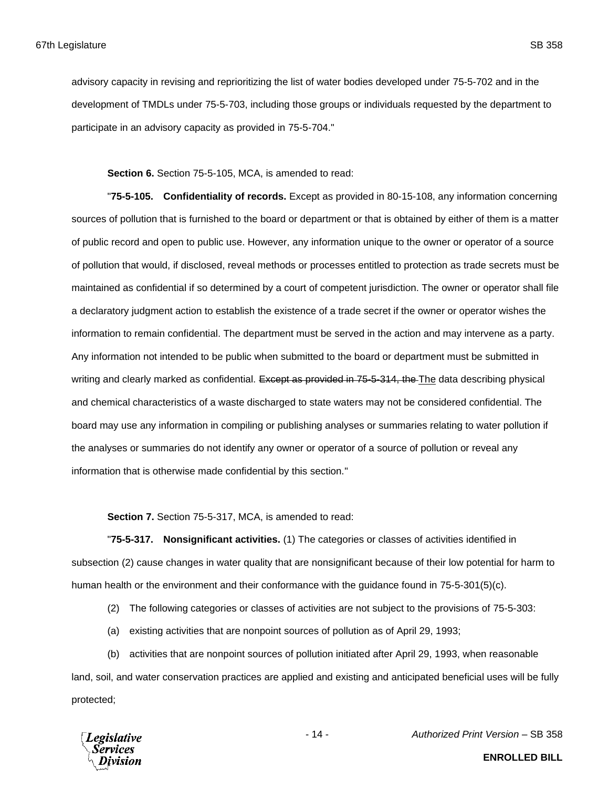advisory capacity in revising and reprioritizing the list of water bodies developed under 75-5-702 and in the development of TMDLs under 75-5-703, including those groups or individuals requested by the department to participate in an advisory capacity as provided in 75-5-704."

**Section 6.** Section 75-5-105, MCA, is amended to read:

"**75-5-105. Confidentiality of records.** Except as provided in 80-15-108, any information concerning sources of pollution that is furnished to the board or department or that is obtained by either of them is a matter of public record and open to public use. However, any information unique to the owner or operator of a source of pollution that would, if disclosed, reveal methods or processes entitled to protection as trade secrets must be maintained as confidential if so determined by a court of competent jurisdiction. The owner or operator shall file a declaratory judgment action to establish the existence of a trade secret if the owner or operator wishes the information to remain confidential. The department must be served in the action and may intervene as a party. Any information not intended to be public when submitted to the board or department must be submitted in writing and clearly marked as confidential. Except as provided in 75-5-314, the The data describing physical and chemical characteristics of a waste discharged to state waters may not be considered confidential. The board may use any information in compiling or publishing analyses or summaries relating to water pollution if the analyses or summaries do not identify any owner or operator of a source of pollution or reveal any information that is otherwise made confidential by this section."

**Section 7.** Section 75-5-317, MCA, is amended to read:

"**75-5-317. Nonsignificant activities.** (1) The categories or classes of activities identified in subsection (2) cause changes in water quality that are nonsignificant because of their low potential for harm to human health or the environment and their conformance with the guidance found in 75-5-301(5)(c).

- (2) The following categories or classes of activities are not subject to the provisions of 75-5-303:
- (a) existing activities that are nonpoint sources of pollution as of April 29, 1993;

(b) activities that are nonpoint sources of pollution initiated after April 29, 1993, when reasonable land, soil, and water conservation practices are applied and existing and anticipated beneficial uses will be fully protected;



- 14 - *Authorized Print Version* – SB 358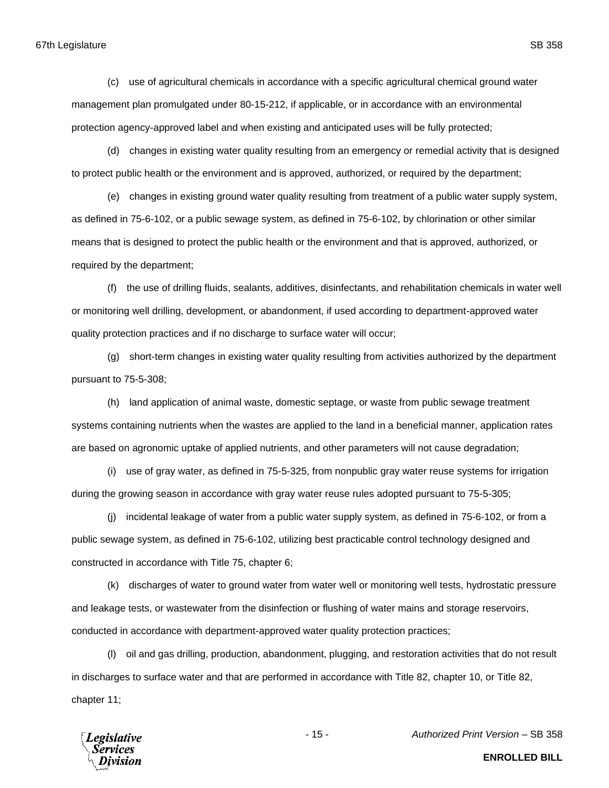67th Legislature SB 358

(c) use of agricultural chemicals in accordance with a specific agricultural chemical ground water management plan promulgated under 80-15-212, if applicable, or in accordance with an environmental protection agency-approved label and when existing and anticipated uses will be fully protected;

(d) changes in existing water quality resulting from an emergency or remedial activity that is designed to protect public health or the environment and is approved, authorized, or required by the department;

(e) changes in existing ground water quality resulting from treatment of a public water supply system, as defined in 75-6-102, or a public sewage system, as defined in 75-6-102, by chlorination or other similar means that is designed to protect the public health or the environment and that is approved, authorized, or required by the department;

(f) the use of drilling fluids, sealants, additives, disinfectants, and rehabilitation chemicals in water well or monitoring well drilling, development, or abandonment, if used according to department-approved water quality protection practices and if no discharge to surface water will occur;

(g) short-term changes in existing water quality resulting from activities authorized by the department pursuant to 75-5-308;

(h) land application of animal waste, domestic septage, or waste from public sewage treatment systems containing nutrients when the wastes are applied to the land in a beneficial manner, application rates are based on agronomic uptake of applied nutrients, and other parameters will not cause degradation;

(i) use of gray water, as defined in 75-5-325, from nonpublic gray water reuse systems for irrigation during the growing season in accordance with gray water reuse rules adopted pursuant to 75-5-305;

(j) incidental leakage of water from a public water supply system, as defined in 75-6-102, or from a public sewage system, as defined in 75-6-102, utilizing best practicable control technology designed and constructed in accordance with Title 75, chapter 6;

(k) discharges of water to ground water from water well or monitoring well tests, hydrostatic pressure and leakage tests, or wastewater from the disinfection or flushing of water mains and storage reservoirs, conducted in accordance with department-approved water quality protection practices;

(l) oil and gas drilling, production, abandonment, plugging, and restoration activities that do not result in discharges to surface water and that are performed in accordance with Title 82, chapter 10, or Title 82, chapter 11;



- 15 - *Authorized Print Version* – SB 358

**ENROLLED BILL**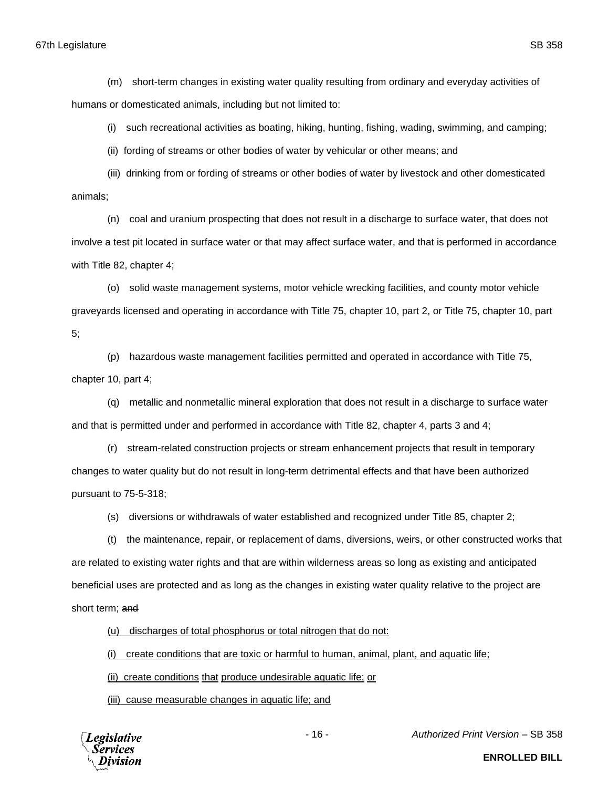## 67th Legislature SB 358

(m) short-term changes in existing water quality resulting from ordinary and everyday activities of humans or domesticated animals, including but not limited to:

(i) such recreational activities as boating, hiking, hunting, fishing, wading, swimming, and camping;

(ii) fording of streams or other bodies of water by vehicular or other means; and

(iii) drinking from or fording of streams or other bodies of water by livestock and other domesticated animals;

(n) coal and uranium prospecting that does not result in a discharge to surface water, that does not involve a test pit located in surface water or that may affect surface water, and that is performed in accordance with Title 82, chapter 4;

(o) solid waste management systems, motor vehicle wrecking facilities, and county motor vehicle graveyards licensed and operating in accordance with Title 75, chapter 10, part 2, or Title 75, chapter 10, part 5;

(p) hazardous waste management facilities permitted and operated in accordance with Title 75, chapter 10, part 4;

(q) metallic and nonmetallic mineral exploration that does not result in a discharge to surface water and that is permitted under and performed in accordance with Title 82, chapter 4, parts 3 and 4;

(r) stream-related construction projects or stream enhancement projects that result in temporary changes to water quality but do not result in long-term detrimental effects and that have been authorized pursuant to 75-5-318;

(s) diversions or withdrawals of water established and recognized under Title 85, chapter 2;

(t) the maintenance, repair, or replacement of dams, diversions, weirs, or other constructed works that are related to existing water rights and that are within wilderness areas so long as existing and anticipated beneficial uses are protected and as long as the changes in existing water quality relative to the project are short term; and

(u) discharges of total phosphorus or total nitrogen that do not:

(i) create conditions that are toxic or harmful to human, animal, plant, and aquatic life;

(ii) create conditions that produce undesirable aquatic life; or

(iii) cause measurable changes in aquatic life; and



- 16 - *Authorized Print Version* – SB 358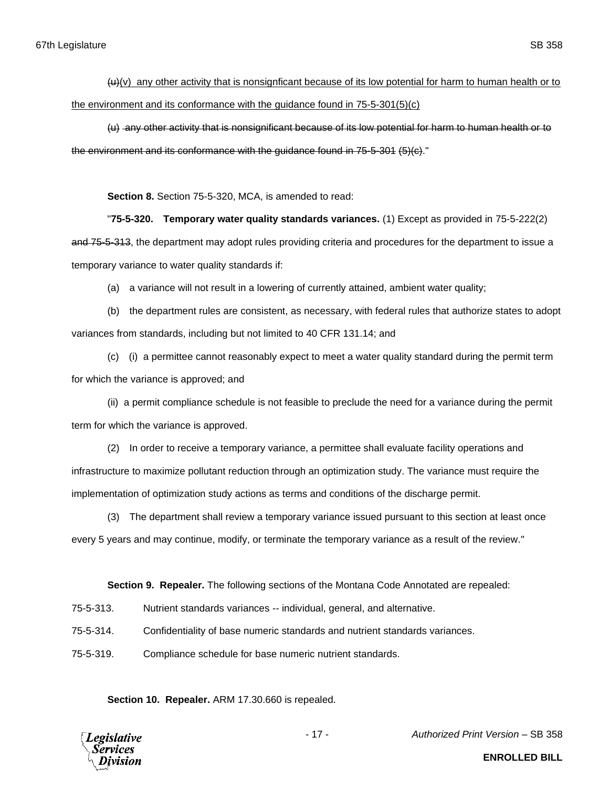$(u)(v)$  any other activity that is nonsignficant because of its low potential for harm to human health or to the environment and its conformance with the guidance found in 75-5-301(5)(c)

(u) any other activity that is nonsignificant because of its low potential for harm to human health or to the environment and its conformance with the guidance found in 75-5-301 (5)(c)."

**Section 8.** Section 75-5-320, MCA, is amended to read:

"**75-5-320. Temporary water quality standards variances.** (1) Except as provided in 75-5-222(2) and 75-5-313, the department may adopt rules providing criteria and procedures for the department to issue a temporary variance to water quality standards if:

(a) a variance will not result in a lowering of currently attained, ambient water quality;

(b) the department rules are consistent, as necessary, with federal rules that authorize states to adopt variances from standards, including but not limited to 40 CFR 131.14; and

(c) (i) a permittee cannot reasonably expect to meet a water quality standard during the permit term for which the variance is approved; and

(ii) a permit compliance schedule is not feasible to preclude the need for a variance during the permit term for which the variance is approved.

(2) In order to receive a temporary variance, a permittee shall evaluate facility operations and infrastructure to maximize pollutant reduction through an optimization study. The variance must require the implementation of optimization study actions as terms and conditions of the discharge permit.

(3) The department shall review a temporary variance issued pursuant to this section at least once every 5 years and may continue, modify, or terminate the temporary variance as a result of the review."

**Section 9. Repealer.** The following sections of the Montana Code Annotated are repealed:

75-5-313. Nutrient standards variances -- individual, general, and alternative.

75-5-314. Confidentiality of base numeric standards and nutrient standards variances.

75-5-319. Compliance schedule for base numeric nutrient standards.

**Section 10. Repealer.** ARM 17.30.660 is repealed.



- 17 - *Authorized Print Version* – SB 358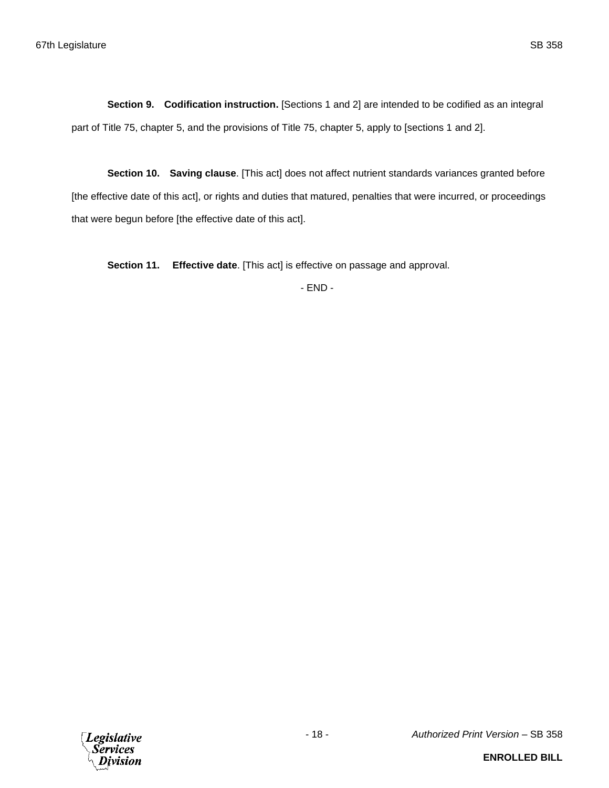**Section 9. Codification instruction.** [Sections 1 and 2] are intended to be codified as an integral part of Title 75, chapter 5, and the provisions of Title 75, chapter 5, apply to [sections 1 and 2].

**Section 10. Saving clause**. [This act] does not affect nutrient standards variances granted before [the effective date of this act], or rights and duties that matured, penalties that were incurred, or proceedings that were begun before [the effective date of this act].

**Section 11. Effective date**. [This act] is effective on passage and approval.

- END -

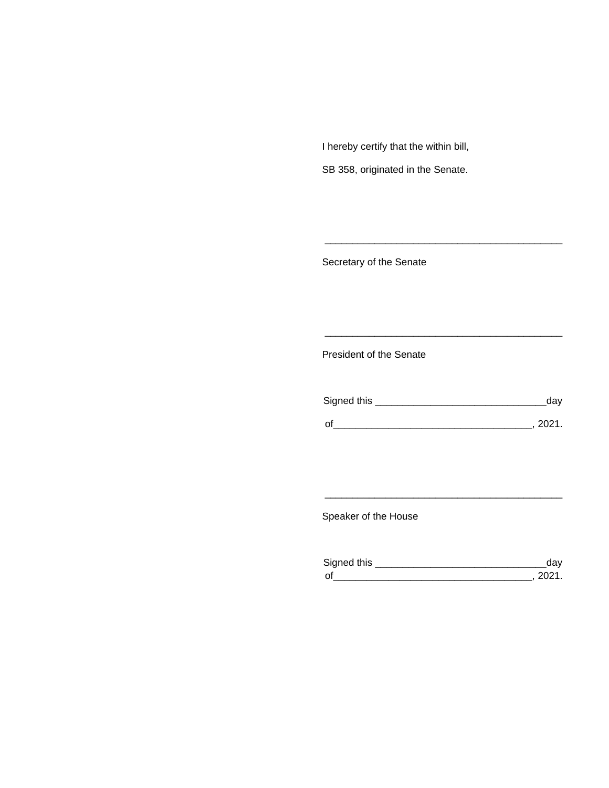I hereby certify that the within bill,

SB 358, originated in the Senate.

Secretary of the Senate

President of the Senate

| Signed this | ua v   |
|-------------|--------|
|             |        |
| $\Omega$    | 111111 |

\_\_\_\_\_\_\_\_\_\_\_\_\_\_\_\_\_\_\_\_\_\_\_\_\_\_\_\_\_\_\_\_\_\_\_\_\_\_\_\_\_\_\_

\_\_\_\_\_\_\_\_\_\_\_\_\_\_\_\_\_\_\_\_\_\_\_\_\_\_\_\_\_\_\_\_\_\_\_\_\_\_\_\_\_\_\_

Speaker of the House

| Sianed this |  |
|-------------|--|
| $\Omega$    |  |

\_\_\_\_\_\_\_\_\_\_\_\_\_\_\_\_\_\_\_\_\_\_\_\_\_\_\_\_\_\_\_\_\_\_\_\_\_\_\_\_\_\_\_